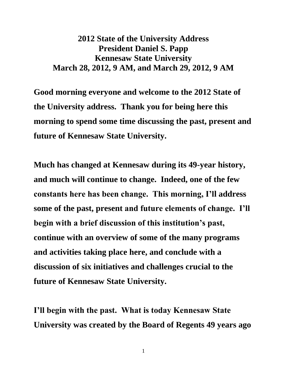## **2012 State of the University Address President Daniel S. Papp Kennesaw State University March 28, 2012, 9 AM, and March 29, 2012, 9 AM**

**Good morning everyone and welcome to the 2012 State of the University address. Thank you for being here this morning to spend some time discussing the past, present and future of Kennesaw State University.** 

**Much has changed at Kennesaw during its 49-year history, and much will continue to change. Indeed, one of the few constants here has been change. This morning, I'll address some of the past, present and future elements of change. I'll begin with a brief discussion of this institution's past, continue with an overview of some of the many programs and activities taking place here, and conclude with a discussion of six initiatives and challenges crucial to the future of Kennesaw State University.**

**I'll begin with the past. What is today Kennesaw State University was created by the Board of Regents 49 years ago**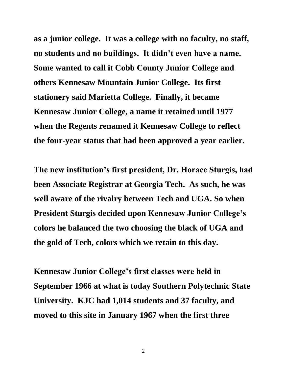**as a junior college. It was a college with no faculty, no staff, no students and no buildings. It didn't even have a name. Some wanted to call it Cobb County Junior College and others Kennesaw Mountain Junior College. Its first stationery said Marietta College. Finally, it became Kennesaw Junior College, a name it retained until 1977 when the Regents renamed it Kennesaw College to reflect the four-year status that had been approved a year earlier.**

**The new institution's first president, Dr. Horace Sturgis, had been Associate Registrar at Georgia Tech. As such, he was well aware of the rivalry between Tech and UGA. So when President Sturgis decided upon Kennesaw Junior College's colors he balanced the two choosing the black of UGA and the gold of Tech, colors which we retain to this day.** 

**Kennesaw Junior College's first classes were held in September 1966 at what is today Southern Polytechnic State University. KJC had 1,014 students and 37 faculty, and moved to this site in January 1967 when the first three**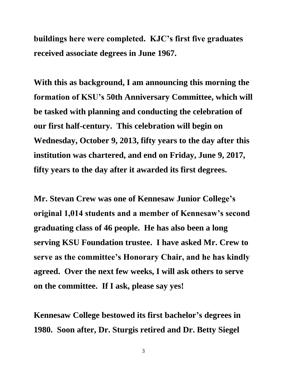**buildings here were completed. KJC's first five graduates received associate degrees in June 1967.** 

**With this as background, I am announcing this morning the formation of KSU's 50th Anniversary Committee, which will be tasked with planning and conducting the celebration of our first half-century. This celebration will begin on Wednesday, October 9, 2013, fifty years to the day after this institution was chartered, and end on Friday, June 9, 2017, fifty years to the day after it awarded its first degrees.** 

**Mr. Stevan Crew was one of Kennesaw Junior College's original 1,014 students and a member of Kennesaw's second graduating class of 46 people. He has also been a long serving KSU Foundation trustee. I have asked Mr. Crew to serve as the committee's Honorary Chair, and he has kindly agreed. Over the next few weeks, I will ask others to serve on the committee. If I ask, please say yes!** 

**Kennesaw College bestowed its first bachelor's degrees in 1980. Soon after, Dr. Sturgis retired and Dr. Betty Siegel**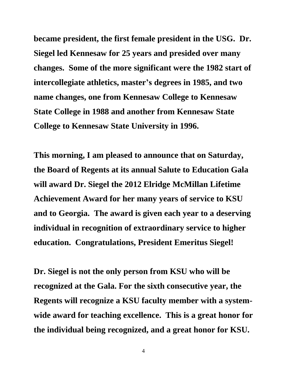**became president, the first female president in the USG. Dr. Siegel led Kennesaw for 25 years and presided over many changes. Some of the more significant were the 1982 start of intercollegiate athletics, master's degrees in 1985, and two name changes, one from Kennesaw College to Kennesaw State College in 1988 and another from Kennesaw State College to Kennesaw State University in 1996.** 

**This morning, I am pleased to announce that on Saturday, the Board of Regents at its annual Salute to Education Gala will award Dr. Siegel the 2012 Elridge McMillan Lifetime Achievement Award for her many years of service to KSU and to Georgia. The award is given each year to a deserving individual in recognition of extraordinary service to higher education. Congratulations, President Emeritus Siegel!**

**Dr. Siegel is not the only person from KSU who will be recognized at the Gala. For the sixth consecutive year, the Regents will recognize a KSU faculty member with a systemwide award for teaching excellence. This is a great honor for the individual being recognized, and a great honor for KSU.**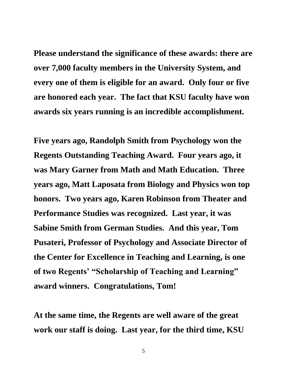**Please understand the significance of these awards: there are over 7,000 faculty members in the University System, and every one of them is eligible for an award. Only four or five are honored each year. The fact that KSU faculty have won awards six years running is an incredible accomplishment.** 

**Five years ago, Randolph Smith from Psychology won the Regents Outstanding Teaching Award. Four years ago, it was Mary Garner from Math and Math Education. Three years ago, Matt Laposata from Biology and Physics won top honors. Two years ago, Karen Robinson from Theater and Performance Studies was recognized. Last year, it was Sabine Smith from German Studies. And this year, Tom Pusateri, Professor of Psychology and Associate Director of the Center for Excellence in Teaching and Learning, is one of two Regents' "Scholarship of Teaching and Learning" award winners. Congratulations, Tom!**

**At the same time, the Regents are well aware of the great work our staff is doing. Last year, for the third time, KSU**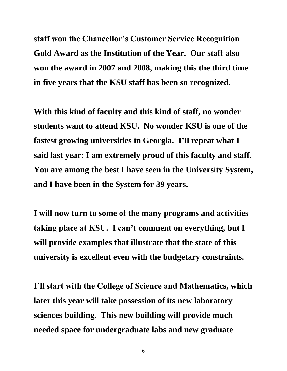**staff won the Chancellor's Customer Service Recognition Gold Award as the Institution of the Year. Our staff also won the award in 2007 and 2008, making this the third time in five years that the KSU staff has been so recognized.**

**With this kind of faculty and this kind of staff, no wonder students want to attend KSU. No wonder KSU is one of the fastest growing universities in Georgia. I'll repeat what I said last year: I am extremely proud of this faculty and staff. You are among the best I have seen in the University System, and I have been in the System for 39 years.** 

**I will now turn to some of the many programs and activities taking place at KSU. I can't comment on everything, but I will provide examples that illustrate that the state of this university is excellent even with the budgetary constraints.** 

**I'll start with the College of Science and Mathematics, which later this year will take possession of its new laboratory sciences building. This new building will provide much needed space for undergraduate labs and new graduate**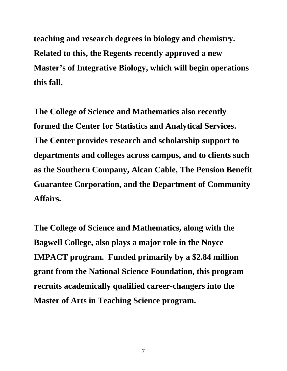**teaching and research degrees in biology and chemistry. Related to this, the Regents recently approved a new Master's of Integrative Biology, which will begin operations this fall.**

**The College of Science and Mathematics also recently formed the Center for Statistics and Analytical Services. The Center provides research and scholarship support to departments and colleges across campus, and to clients such as the Southern Company, Alcan Cable, The Pension Benefit Guarantee Corporation, and the Department of Community Affairs.** 

**The College of Science and Mathematics, along with the Bagwell College, also plays a major role in the Noyce IMPACT program. Funded primarily by a \$2.84 million grant from the National Science Foundation, this program recruits academically qualified career-changers into the Master of Arts in Teaching Science program.**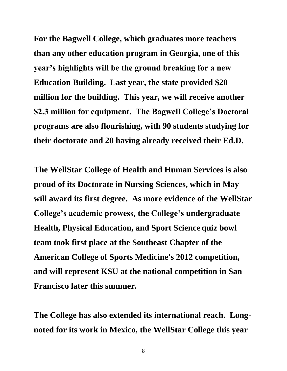**For the Bagwell College, which graduates more teachers than any other education program in Georgia, one of this year's highlights will be the ground breaking for a new Education Building. Last year, the state provided \$20 million for the building. This year, we will receive another \$2.3 million for equipment. The Bagwell College's Doctoral programs are also flourishing, with 90 students studying for their doctorate and 20 having already received their Ed.D.** 

**The WellStar College of Health and Human Services is also proud of its Doctorate in Nursing Sciences, which in May will award its first degree. As more evidence of the WellStar College's academic prowess, the College's undergraduate Health, Physical Education, and Sport Science quiz bowl team took first place at the Southeast Chapter of the American College of Sports Medicine's 2012 competition, and will represent KSU at the national competition in San Francisco later this summer.** 

**The College has also extended its international reach. Longnoted for its work in Mexico, the WellStar College this year**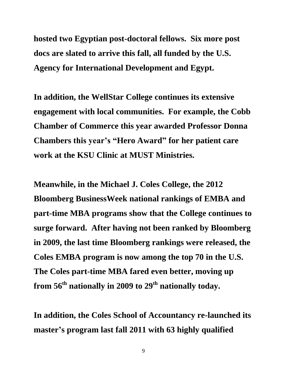**hosted two Egyptian post-doctoral fellows. Six more post docs are slated to arrive this fall, all funded by the U.S. Agency for International Development and Egypt.**

**In addition, the WellStar College continues its extensive engagement with local communities. For example, the Cobb Chamber of Commerce this year awarded Professor Donna Chambers this year's "Hero Award" for her patient care work at the KSU Clinic at MUST Ministries.**

**Meanwhile, in the Michael J. Coles College, the 2012 Bloomberg BusinessWeek national rankings of EMBA and part-time MBA programs show that the College continues to surge forward. After having not been ranked by Bloomberg in 2009, the last time Bloomberg rankings were released, the Coles EMBA program is now among the top 70 in the U.S. The Coles part-time MBA fared even better, moving up from 56th nationally in 2009 to 29th nationally today.**

**In addition, the Coles School of Accountancy re-launched its master's program last fall 2011 with 63 highly qualified**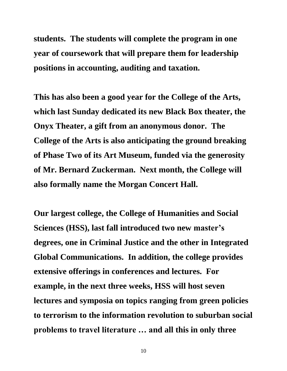**students. The students will complete the program in one year of coursework that will prepare them for leadership positions in accounting, auditing and taxation.** 

**This has also been a good year for the College of the Arts, which last Sunday dedicated its new Black Box theater, the Onyx Theater, a gift from an anonymous donor. The College of the Arts is also anticipating the ground breaking of Phase Two of its Art Museum, funded via the generosity of Mr. Bernard Zuckerman. Next month, the College will also formally name the Morgan Concert Hall.**

**Our largest college, the College of Humanities and Social Sciences (HSS), last fall introduced two new master's degrees, one in Criminal Justice and the other in Integrated Global Communications. In addition, the college provides extensive offerings in conferences and lectures. For example, in the next three weeks, HSS will host seven lectures and symposia on topics ranging from green policies to terrorism to the information revolution to suburban social problems to travel literature … and all this in only three**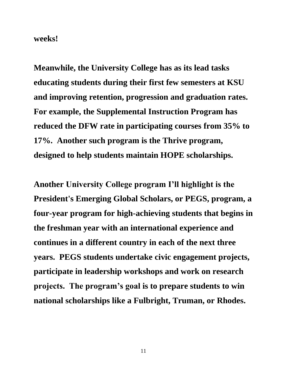**weeks!**

**Meanwhile, the University College has as its lead tasks educating students during their first few semesters at KSU and improving retention, progression and graduation rates. For example, the Supplemental Instruction Program has reduced the DFW rate in participating courses from 35% to 17%. Another such program is the Thrive program, designed to help students maintain HOPE scholarships.** 

**Another University College program I'll highlight is the President's Emerging Global Scholars, or PEGS, program, a four-year program for high-achieving students that begins in the freshman year with an international experience and continues in a different country in each of the next three years. PEGS students undertake civic engagement projects, participate in leadership workshops and work on research projects. The program's goal is to prepare students to win national scholarships like a Fulbright, Truman, or Rhodes.**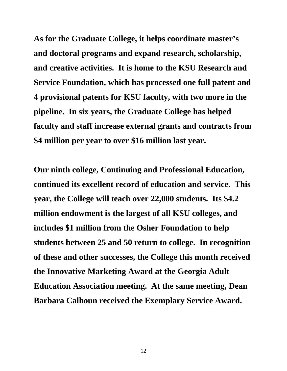**As for the Graduate College, it helps coordinate master's and doctoral programs and expand research, scholarship, and creative activities. It is home to the KSU Research and Service Foundation, which has processed one full patent and 4 provisional patents for KSU faculty, with two more in the pipeline. In six years, the Graduate College has helped faculty and staff increase external grants and contracts from \$4 million per year to over \$16 million last year.**

**Our ninth college, Continuing and Professional Education, continued its excellent record of education and service. This year, the College will teach over 22,000 students. Its \$4.2 million endowment is the largest of all KSU colleges, and includes \$1 million from the Osher Foundation to help students between 25 and 50 return to college. In recognition of these and other successes, the College this month received the Innovative Marketing Award at the Georgia Adult Education Association meeting. At the same meeting, Dean Barbara Calhoun received the Exemplary Service Award.**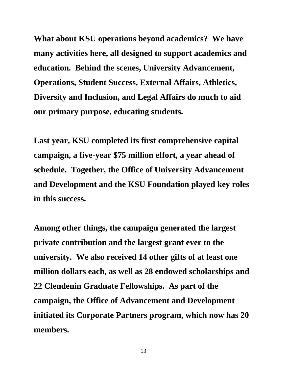**What about KSU operations beyond academics? We have many activities here, all designed to support academics and education. Behind the scenes, University Advancement, Operations, Student Success, External Affairs, Athletics, Diversity and Inclusion, and Legal Affairs do much to aid our primary purpose, educating students.** 

**Last year, KSU completed its first comprehensive capital campaign, a five-year \$75 million effort, a year ahead of schedule. Together, the Office of University Advancement and Development and the KSU Foundation played key roles in this success.**

**Among other things, the campaign generated the largest private contribution and the largest grant ever to the university. We also received 14 other gifts of at least one million dollars each, as well as 28 endowed scholarships and 22 Clendenin Graduate Fellowships. As part of the campaign, the Office of Advancement and Development initiated its Corporate Partners program, which now has 20 members.**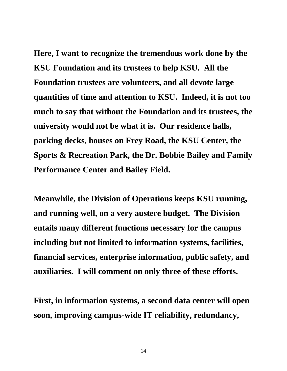**Here, I want to recognize the tremendous work done by the KSU Foundation and its trustees to help KSU. All the Foundation trustees are volunteers, and all devote large quantities of time and attention to KSU. Indeed, it is not too much to say that without the Foundation and its trustees, the university would not be what it is. Our residence halls, parking decks, houses on Frey Road, the KSU Center, the Sports & Recreation Park, the Dr. Bobbie Bailey and Family Performance Center and Bailey Field.** 

**Meanwhile, the Division of Operations keeps KSU running, and running well, on a very austere budget. The Division entails many different functions necessary for the campus including but not limited to information systems, facilities, financial services, enterprise information, public safety, and auxiliaries. I will comment on only three of these efforts.**

**First, in information systems, a second data center will open soon, improving campus-wide IT reliability, redundancy,**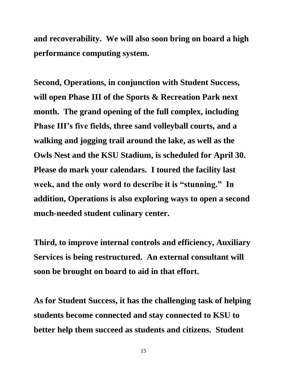**and recoverability. We will also soon bring on board a high performance computing system.**

**Second, Operations, in conjunction with Student Success, will open Phase III of the Sports & Recreation Park next month. The grand opening of the full complex, including Phase III's five fields, three sand volleyball courts, and a walking and jogging trail around the lake, as well as the Owls Nest and the KSU Stadium, is scheduled for April 30. Please do mark your calendars. I toured the facility last week, and the only word to describe it is "stunning." In addition, Operations is also exploring ways to open a second much-needed student culinary center.**

**Third, to improve internal controls and efficiency, Auxiliary Services is being restructured. An external consultant will soon be brought on board to aid in that effort.** 

**As for Student Success, it has the challenging task of helping students become connected and stay connected to KSU to better help them succeed as students and citizens. Student**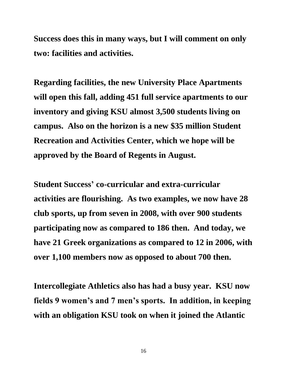**Success does this in many ways, but I will comment on only two: facilities and activities.**

**Regarding facilities, the new University Place Apartments will open this fall, adding 451 full service apartments to our inventory and giving KSU almost 3,500 students living on campus. Also on the horizon is a new \$35 million Student Recreation and Activities Center, which we hope will be approved by the Board of Regents in August.**

**Student Success' co-curricular and extra-curricular activities are flourishing. As two examples, we now have 28 club sports, up from seven in 2008, with over 900 students participating now as compared to 186 then. And today, we have 21 Greek organizations as compared to 12 in 2006, with over 1,100 members now as opposed to about 700 then.**

**Intercollegiate Athletics also has had a busy year. KSU now fields 9 women's and 7 men's sports. In addition, in keeping with an obligation KSU took on when it joined the Atlantic**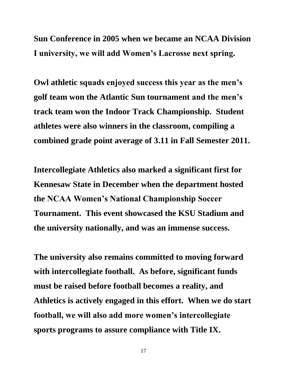**Sun Conference in 2005 when we became an NCAA Division I university, we will add Women's Lacrosse next spring.** 

**Owl athletic squads enjoyed success this year as the men's golf team won the Atlantic Sun tournament and the men's track team won the Indoor Track Championship. Student athletes were also winners in the classroom, compiling a combined grade point average of 3.11 in Fall Semester 2011.**

**Intercollegiate Athletics also marked a significant first for Kennesaw State in December when the department hosted the NCAA Women's National Championship Soccer Tournament. This event showcased the KSU Stadium and the university nationally, and was an immense success.**

**The university also remains committed to moving forward with intercollegiate football. As before, significant funds must be raised before football becomes a reality, and Athletics is actively engaged in this effort. When we do start football, we will also add more women's intercollegiate sports programs to assure compliance with Title IX.**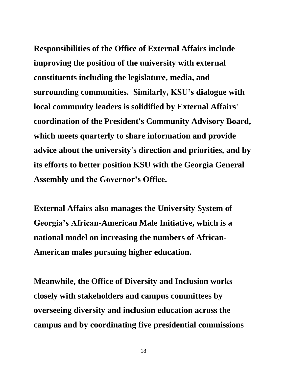**Responsibilities of the Office of External Affairs include improving the position of the university with external constituents including the legislature, media, and surrounding communities. Similarly, KSU's dialogue with local community leaders is solidified by External Affairs' coordination of the President's Community Advisory Board, which meets quarterly to share information and provide advice about the university's direction and priorities, and by its efforts to better position KSU with the Georgia General Assembly and the Governor's Office.**

**External Affairs also manages the University System of Georgia's African-American Male Initiative, which is a national model on increasing the numbers of African-American males pursuing higher education.**

**Meanwhile, the Office of Diversity and Inclusion works closely with stakeholders and campus committees by overseeing diversity and inclusion education across the campus and by coordinating five presidential commissions**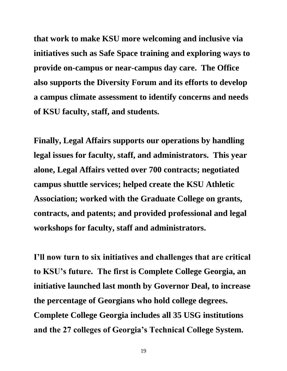**that work to make KSU more welcoming and inclusive via initiatives such as Safe Space training and exploring ways to provide on-campus or near-campus day care. The Office also supports the Diversity Forum and its efforts to develop a campus climate assessment to identify concerns and needs of KSU faculty, staff, and students.** 

**Finally, Legal Affairs supports our operations by handling legal issues for faculty, staff, and administrators. This year alone, Legal Affairs vetted over 700 contracts; negotiated campus shuttle services; helped create the KSU Athletic Association; worked with the Graduate College on grants, contracts, and patents; and provided professional and legal workshops for faculty, staff and administrators.**

**I'll now turn to six initiatives and challenges that are critical to KSU's future. The first is Complete College Georgia, an initiative launched last month by Governor Deal, to increase the percentage of Georgians who hold college degrees. Complete College Georgia includes all 35 USG institutions and the 27 colleges of Georgia's Technical College System.**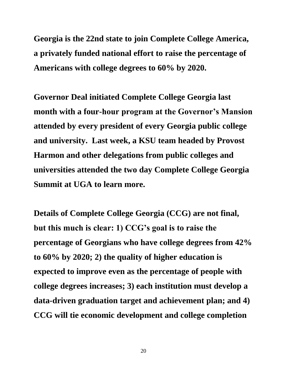**Georgia is the 22nd state to join Complete College America, a privately funded national effort to raise the percentage of Americans with college degrees to 60% by 2020.** 

**Governor Deal initiated Complete College Georgia last month with a four-hour program at the Governor's Mansion attended by every president of every Georgia public college and university. Last week, a KSU team headed by Provost Harmon and other delegations from public colleges and universities attended the two day Complete College Georgia Summit at UGA to learn more.**

**Details of Complete College Georgia (CCG) are not final, but this much is clear: 1) CCG's goal is to raise the percentage of Georgians who have college degrees from 42% to 60% by 2020; 2) the quality of higher education is expected to improve even as the percentage of people with college degrees increases; 3) each institution must develop a data-driven graduation target and achievement plan; and 4) CCG will tie economic development and college completion**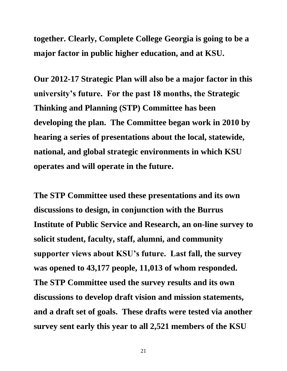**together. Clearly, Complete College Georgia is going to be a major factor in public higher education, and at KSU.** 

**Our 2012-17 Strategic Plan will also be a major factor in this university's future. For the past 18 months, the Strategic Thinking and Planning (STP) Committee has been developing the plan. The Committee began work in 2010 by hearing a series of presentations about the local, statewide, national, and global strategic environments in which KSU operates and will operate in the future.** 

**The STP Committee used these presentations and its own discussions to design, in conjunction with the Burrus Institute of Public Service and Research, an on-line survey to solicit student, faculty, staff, alumni, and community supporter views about KSU's future. Last fall, the survey was opened to 43,177 people, 11,013 of whom responded. The STP Committee used the survey results and its own discussions to develop draft vision and mission statements, and a draft set of goals. These drafts were tested via another survey sent early this year to all 2,521 members of the KSU**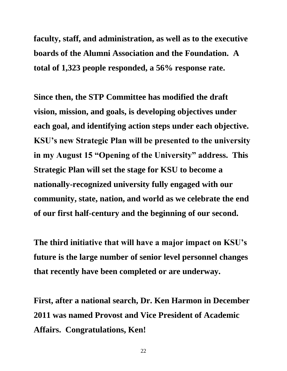**faculty, staff, and administration, as well as to the executive boards of the Alumni Association and the Foundation. A total of 1,323 people responded, a 56% response rate.** 

**Since then, the STP Committee has modified the draft vision, mission, and goals, is developing objectives under each goal, and identifying action steps under each objective. KSU's new Strategic Plan will be presented to the university in my August 15 "Opening of the University" address. This Strategic Plan will set the stage for KSU to become a nationally-recognized university fully engaged with our community, state, nation, and world as we celebrate the end of our first half-century and the beginning of our second.**

**The third initiative that will have a major impact on KSU's future is the large number of senior level personnel changes that recently have been completed or are underway.**

**First, after a national search, Dr. Ken Harmon in December 2011 was named Provost and Vice President of Academic Affairs. Congratulations, Ken!**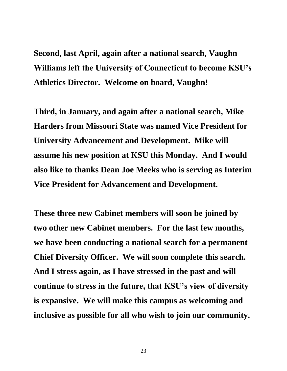**Second, last April, again after a national search, Vaughn Williams left the University of Connecticut to become KSU's Athletics Director. Welcome on board, Vaughn!**

**Third, in January, and again after a national search, Mike Harders from Missouri State was named Vice President for University Advancement and Development. Mike will assume his new position at KSU this Monday. And I would also like to thanks Dean Joe Meeks who is serving as Interim Vice President for Advancement and Development.**

**These three new Cabinet members will soon be joined by two other new Cabinet members. For the last few months, we have been conducting a national search for a permanent Chief Diversity Officer. We will soon complete this search. And I stress again, as I have stressed in the past and will continue to stress in the future, that KSU's view of diversity is expansive. We will make this campus as welcoming and inclusive as possible for all who wish to join our community.**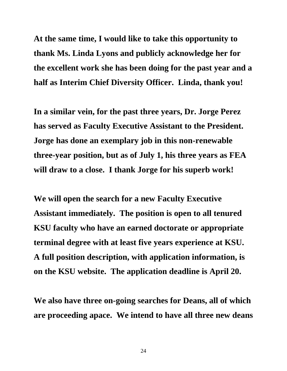**At the same time, I would like to take this opportunity to thank Ms. Linda Lyons and publicly acknowledge her for the excellent work she has been doing for the past year and a half as Interim Chief Diversity Officer. Linda, thank you!**

**In a similar vein, for the past three years, Dr. Jorge Perez has served as Faculty Executive Assistant to the President. Jorge has done an exemplary job in this non-renewable three-year position, but as of July 1, his three years as FEA will draw to a close. I thank Jorge for his superb work!**

**We will open the search for a new Faculty Executive Assistant immediately. The position is open to all tenured KSU faculty who have an earned doctorate or appropriate terminal degree with at least five years experience at KSU. A full position description, with application information, is on the KSU website. The application deadline is April 20.** 

**We also have three on-going searches for Deans, all of which are proceeding apace. We intend to have all three new deans**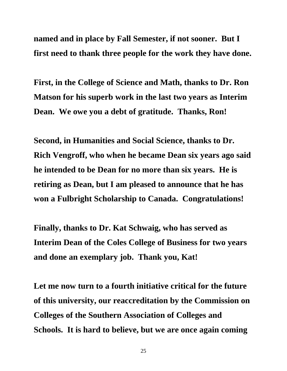**named and in place by Fall Semester, if not sooner. But I first need to thank three people for the work they have done.** 

**First, in the College of Science and Math, thanks to Dr. Ron Matson for his superb work in the last two years as Interim Dean. We owe you a debt of gratitude. Thanks, Ron!**

**Second, in Humanities and Social Science, thanks to Dr. Rich Vengroff, who when he became Dean six years ago said he intended to be Dean for no more than six years. He is retiring as Dean, but I am pleased to announce that he has won a Fulbright Scholarship to Canada. Congratulations!**

**Finally, thanks to Dr. Kat Schwaig, who has served as Interim Dean of the Coles College of Business for two years and done an exemplary job. Thank you, Kat!** 

**Let me now turn to a fourth initiative critical for the future of this university, our reaccreditation by the Commission on Colleges of the Southern Association of Colleges and Schools. It is hard to believe, but we are once again coming**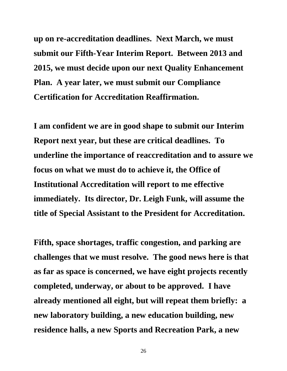**up on re-accreditation deadlines. Next March, we must submit our Fifth-Year Interim Report. Between 2013 and 2015, we must decide upon our next Quality Enhancement Plan. A year later, we must submit our Compliance Certification for Accreditation Reaffirmation.**

**I am confident we are in good shape to submit our Interim Report next year, but these are critical deadlines. To underline the importance of reaccreditation and to assure we focus on what we must do to achieve it, the Office of Institutional Accreditation will report to me effective immediately. Its director, Dr. Leigh Funk, will assume the title of Special Assistant to the President for Accreditation.**

**Fifth, space shortages, traffic congestion, and parking are challenges that we must resolve. The good news here is that as far as space is concerned, we have eight projects recently completed, underway, or about to be approved. I have already mentioned all eight, but will repeat them briefly: a new laboratory building, a new education building, new residence halls, a new Sports and Recreation Park, a new**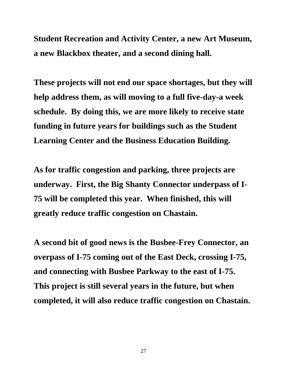**Student Recreation and Activity Center, a new Art Museum, a new Blackbox theater, and a second dining hall.** 

**These projects will not end our space shortages, but they will help address them, as will moving to a full five-day-a week schedule. By doing this, we are more likely to receive state funding in future years for buildings such as the Student Learning Center and the Business Education Building.**

**As for traffic congestion and parking, three projects are underway. First, the Big Shanty Connector underpass of I-75 will be completed this year. When finished, this will greatly reduce traffic congestion on Chastain.** 

**A second bit of good news is the Busbee-Frey Connector, an overpass of I-75 coming out of the East Deck, crossing I-75, and connecting with Busbee Parkway to the east of I-75. This project is still several years in the future, but when completed, it will also reduce traffic congestion on Chastain.**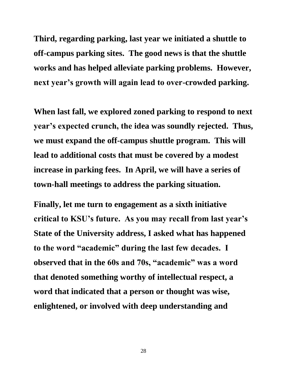**Third, regarding parking, last year we initiated a shuttle to off-campus parking sites. The good news is that the shuttle works and has helped alleviate parking problems. However, next year's growth will again lead to over-crowded parking.** 

**When last fall, we explored zoned parking to respond to next year's expected crunch, the idea was soundly rejected. Thus, we must expand the off-campus shuttle program. This will lead to additional costs that must be covered by a modest increase in parking fees. In April, we will have a series of town-hall meetings to address the parking situation.** 

**Finally, let me turn to engagement as a sixth initiative critical to KSU's future. As you may recall from last year's State of the University address, I asked what has happened to the word "academic" during the last few decades. I observed that in the 60s and 70s, "academic" was a word that denoted something worthy of intellectual respect, a word that indicated that a person or thought was wise, enlightened, or involved with deep understanding and**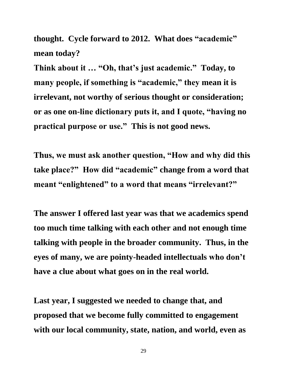**thought. Cycle forward to 2012. What does "academic" mean today?** 

**Think about it … "Oh, that's just academic." Today, to many people, if something is "academic," they mean it is irrelevant, not worthy of serious thought or consideration; or as one on-line dictionary puts it, and I quote, "having no practical purpose or use." This is not good news.** 

**Thus, we must ask another question, "How and why did this take place?" How did "academic" change from a word that meant "enlightened" to a word that means "irrelevant?"**

**The answer I offered last year was that we academics spend too much time talking with each other and not enough time talking with people in the broader community. Thus, in the eyes of many, we are pointy-headed intellectuals who don't have a clue about what goes on in the real world.**

**Last year, I suggested we needed to change that, and proposed that we become fully committed to engagement with our local community, state, nation, and world, even as**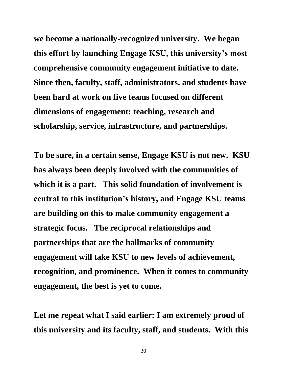**we become a nationally-recognized university. We began this effort by launching Engage KSU, this university's most comprehensive community engagement initiative to date. Since then, faculty, staff, administrators, and students have been hard at work on five teams focused on different dimensions of engagement: teaching, research and scholarship, service, infrastructure, and partnerships.**

**To be sure, in a certain sense, Engage KSU is not new. KSU has always been deeply involved with the communities of which it is a part. This solid foundation of involvement is central to this institution's history, and Engage KSU teams are building on this to make community engagement a strategic focus. The reciprocal relationships and partnerships that are the hallmarks of community engagement will take KSU to new levels of achievement, recognition, and prominence. When it comes to community engagement, the best is yet to come.** 

**Let me repeat what I said earlier: I am extremely proud of this university and its faculty, staff, and students. With this**